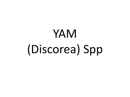# YAM (Discorea) Spp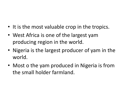- It is the most valuable crop in the tropics.
- West Africa is one of the largest yam producing region in the world.
- Nigeria is the largest producer of yam in the world.
- Most o the yam produced in Nigeria is from the small holder farmland.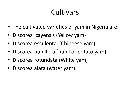## **Cultivars**

- The cultivated varieties of yam in Nigeria are:
- Discorea cayensis (Yellow yam)
- Discorea esculenta (Chineese yam)
- Discorea bubilfera (bubil or potato yam)
- Discorea rotundata (White yam)
- Discorea alata (water yam)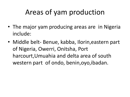## Areas of yam production

- The major yam producing areas are in Nigeria include:
- Middle belt- Benue, kabba, Ilorin,eastern part of Nigeria, Owerri, Onitsha, Port harcourt,Umuahia and delta area of south western part of ondo, benin,oyo,ibadan.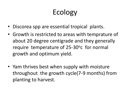# Ecology

- Discorea spp are essential tropical plants.
- Growth is restricted to areas with temprature of about 20 degree centigrade and they generally require temperature of 25-30° c for normal growth and optimum yield.
- Yam thrives best when supply with moisture throughout the growth cycle(7-9 months) from planting to harvest.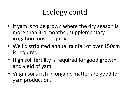## Ecology contd

- If yam is to be grown where the dry season is more than 3-4 months , supplementary irrigation must be provided.
- Well distributed annual rainfall of over 150cm is required.
- High soil fertility is required for good growth and yield of yam.
- Virgin soils rich in organic matter are good for yam production.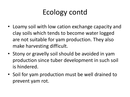## Ecology contd

- Loamy soil with low cation exchange capacity and clay soils which tends to become water logged are not suitable for yam production. They also make harvesting difficult.
- Stony or gravelly soil should be avoided in yam production since tuber development in such soil is hindered.
- Soil for yam production must be well drained to prevent yam rot.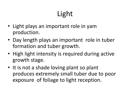# Light

- Light plays an important role in yam production.
- Day length plays an important role in tuber formation and tuber growth.
- High light intensity is required during active growth stage.
- It is not a shade loving plant so plant produces extremely small tuber due to poor exposure of foliage to light reception.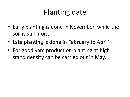## Planting date

- Early planting is done in November while the soil is still moist.
- Late planting is done in February to April'
- For good yam production planting at high stand density can be carried out in May.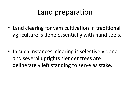#### Land preparation

• Land clearing for yam cultivation in traditional agriculture is done essentially with hand tools.

• In such instances, clearing is selectively done and several uprights slender trees are deliberately left standing to serve as stake.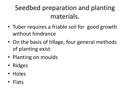#### Seedbed preparation and planting materials.

- Tuber requires a friable soil for good growth without hindrance
- On the basis of tillage, four general methods of planting exist:
- Planting on moulds
- Ridges
- Holes
- Flats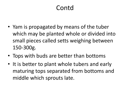#### Contd

- Yam is propagated by means of the tuber which may be planted whole or divided into small pieces called setts weighing between 150-300g.
- Tops with buds are better than bottoms
- It is better to plant whole tubers and early maturing tops separated from bottoms and middle which sprouts late.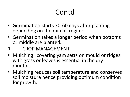## Contd

- Germination starts 30-60 days after planting depending on the rainfall regime.
- Germination takes a longer period when bottoms or middle are planted.
- 1. CROP MANAGEMENT
- Mulching covering yam setts on mould or ridges with grass or leaves is essential in the dry months.
- Mulching reduces soil temperature and conserves soil moisture hence providing optimum condition for growth.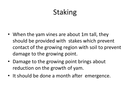## Staking

- When the yam vines are about 1m tall, they should be provided with stakes which prevent contact of the growing region with soil to prevent damage to the growing point.
- Damage to the growing point brings about reduction on the growth of yam.
- It should be done a month after emergence.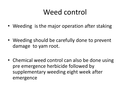#### Weed control

- Weeding is the major operation after staking
- Weeding should be carefully done to prevent damage to yam root.
- Chemical weed control can also be done using pre emergence herbicide followed by supplementary weeding eight week after emergence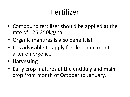#### Fertilizer

- Compound fertilizer should be applied at the rate of 125-250kg/ha
- Organic manures is also beneficial.
- It is advisable to apply fertilizer one month after emergence.
- Harvesting
- Early crop matures at the end July and main crop from month of October to January.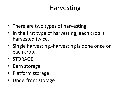#### Harvesting

- There are two types of harvesting;
- In the first type of harvesting, each crop is harvested twice.
- Single harvesting.-harvesting is done once on each crop.
- STORAGE
- Barn storage
- Platform storage
- Underfront storage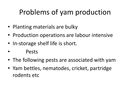## Problems of yam production

- Planting materials are bulky
- Production operations are labour intensive
- In-storage shelf life is short.
- Pests
- The following pests are associated with yam
- Yam bettles, nematodes, cricket, partridge rodents etc